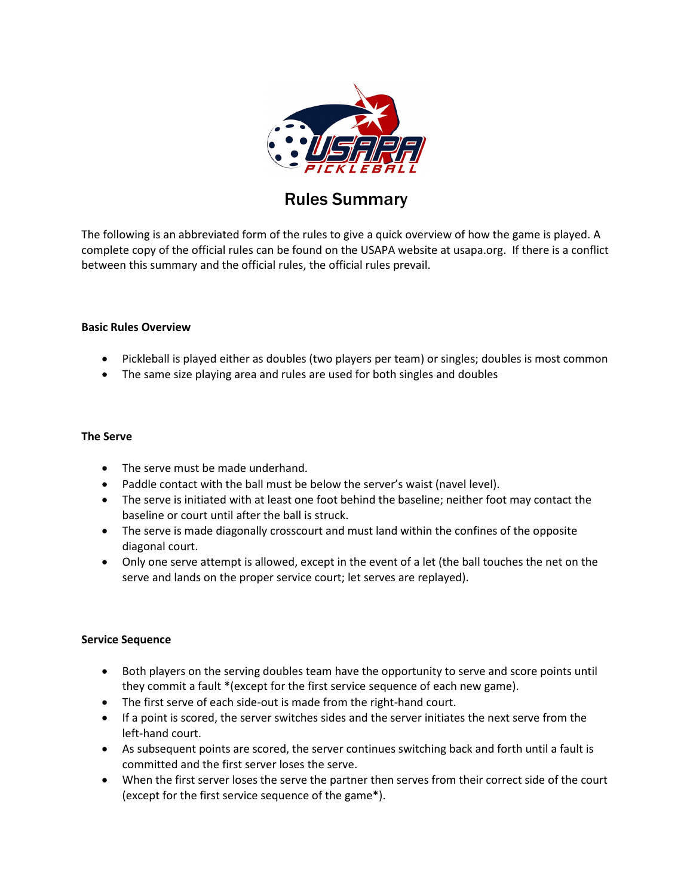

# Rules Summary

The following is an abbreviated form of the rules to give a quick overview of how the game is played. A complete copy of the official rules can be found on the USAPA website at usapa.org. If there is a conflict between this summary and the official rules, the official rules prevail.

# **Basic Rules Overview**

- Pickleball is played either as doubles (two players per team) or singles; doubles is most common
- The same size playing area and rules are used for both singles and doubles

#### **The Serve**

- The serve must be made underhand.
- Paddle contact with the ball must be below the server's waist (navel level).
- The serve is initiated with at least one foot behind the baseline; neither foot may contact the baseline or court until after the ball is struck.
- The serve is made diagonally crosscourt and must land within the confines of the opposite diagonal court.
- Only one serve attempt is allowed, except in the event of a let (the ball touches the net on the serve and lands on the proper service court; let serves are replayed).

# **Service Sequence**

- Both players on the serving doubles team have the opportunity to serve and score points until they commit a fault \*(except for the first service sequence of each new game).
- The first serve of each side-out is made from the right-hand court.
- If a point is scored, the server switches sides and the server initiates the next serve from the left-hand court.
- As subsequent points are scored, the server continues switching back and forth until a fault is committed and the first server loses the serve.
- When the first server loses the serve the partner then serves from their correct side of the court (except for the first service sequence of the game\*).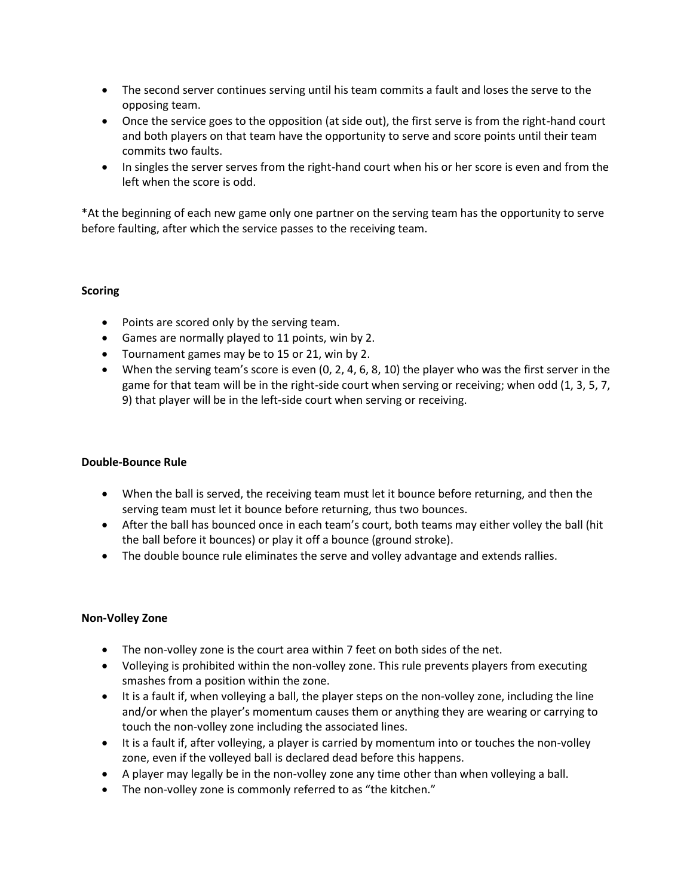- The second server continues serving until his team commits a fault and loses the serve to the opposing team.
- Once the service goes to the opposition (at side out), the first serve is from the right-hand court and both players on that team have the opportunity to serve and score points until their team commits two faults.
- In singles the server serves from the right-hand court when his or her score is even and from the left when the score is odd.

\*At the beginning of each new game only one partner on the serving team has the opportunity to serve before faulting, after which the service passes to the receiving team.

# **Scoring**

- Points are scored only by the serving team.
- Games are normally played to 11 points, win by 2.
- Tournament games may be to 15 or 21, win by 2.
- When the serving team's score is even (0, 2, 4, 6, 8, 10) the player who was the first server in the game for that team will be in the right-side court when serving or receiving; when odd (1, 3, 5, 7, 9) that player will be in the left-side court when serving or receiving.

# **Double-Bounce Rule**

- When the ball is served, the receiving team must let it bounce before returning, and then the serving team must let it bounce before returning, thus two bounces.
- After the ball has bounced once in each team's court, both teams may either volley the ball (hit the ball before it bounces) or play it off a bounce (ground stroke).
- The double bounce rule eliminates the serve and volley advantage and extends rallies.

#### **Non-Volley Zone**

- The non-volley zone is the court area within 7 feet on both sides of the net.
- Volleying is prohibited within the non-volley zone. This rule prevents players from executing smashes from a position within the zone.
- It is a fault if, when volleying a ball, the player steps on the non-volley zone, including the line and/or when the player's momentum causes them or anything they are wearing or carrying to touch the non-volley zone including the associated lines.
- It is a fault if, after volleying, a player is carried by momentum into or touches the non-volley zone, even if the volleyed ball is declared dead before this happens.
- A player may legally be in the non-volley zone any time other than when volleying a ball.
- The non-volley zone is commonly referred to as "the kitchen."